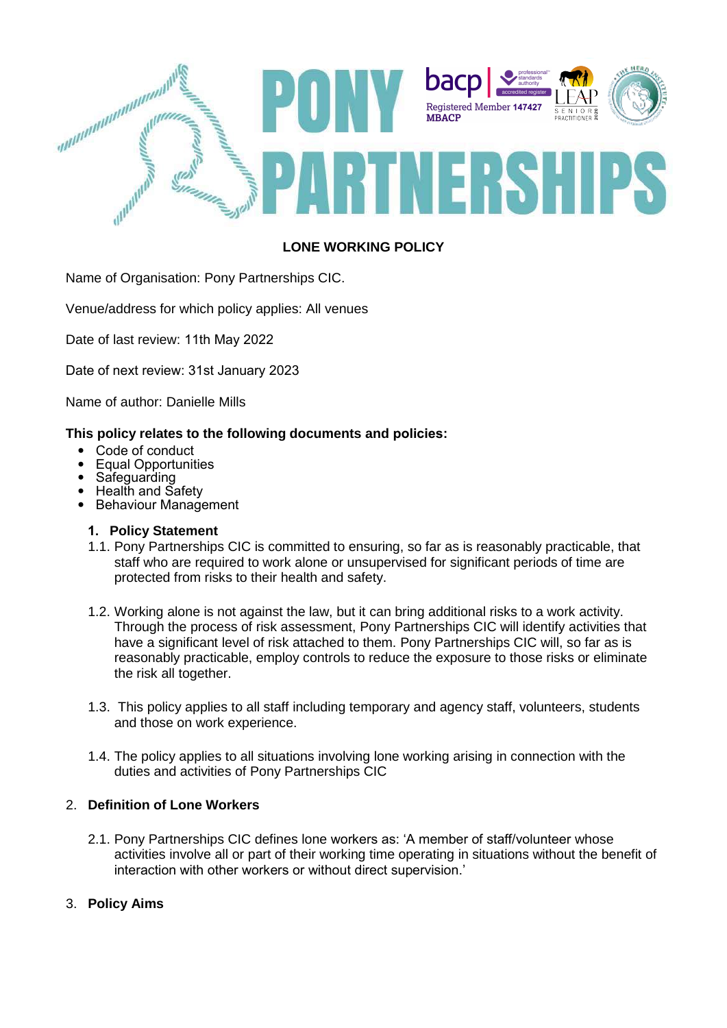

# **LONE WORKING POLICY**

Name of Organisation: Pony Partnerships CIC.

Venue/address for which policy applies: All venues

Date of last review: 11th May 2022

Date of next review: 31st January 2023

Name of author: Danielle Mills

#### **This policy relates to the following documents and policies:**

- Code of conduct
- Equal Opportunities
- Safeguarding
- Health and Safety
- Behaviour Management

## **1. Policy Statement**

- 1.1. Pony Partnerships CIC is committed to ensuring, so far as is reasonably practicable, that staff who are required to work alone or unsupervised for significant periods of time are protected from risks to their health and safety.
- 1.2. Working alone is not against the law, but it can bring additional risks to a work activity. Through the process of risk assessment, Pony Partnerships CIC will identify activities that have a significant level of risk attached to them. Pony Partnerships CIC will, so far as is reasonably practicable, employ controls to reduce the exposure to those risks or eliminate the risk all together.
- 1.3. This policy applies to all staff including temporary and agency staff, volunteers, students and those on work experience.
- 1.4. The policy applies to all situations involving lone working arising in connection with the duties and activities of Pony Partnerships CIC

## 2. **Definition of Lone Workers**

2.1. Pony Partnerships CIC defines lone workers as: 'A member of staff/volunteer whose activities involve all or part of their working time operating in situations without the benefit of interaction with other workers or without direct supervision.'

## 3. **Policy Aims**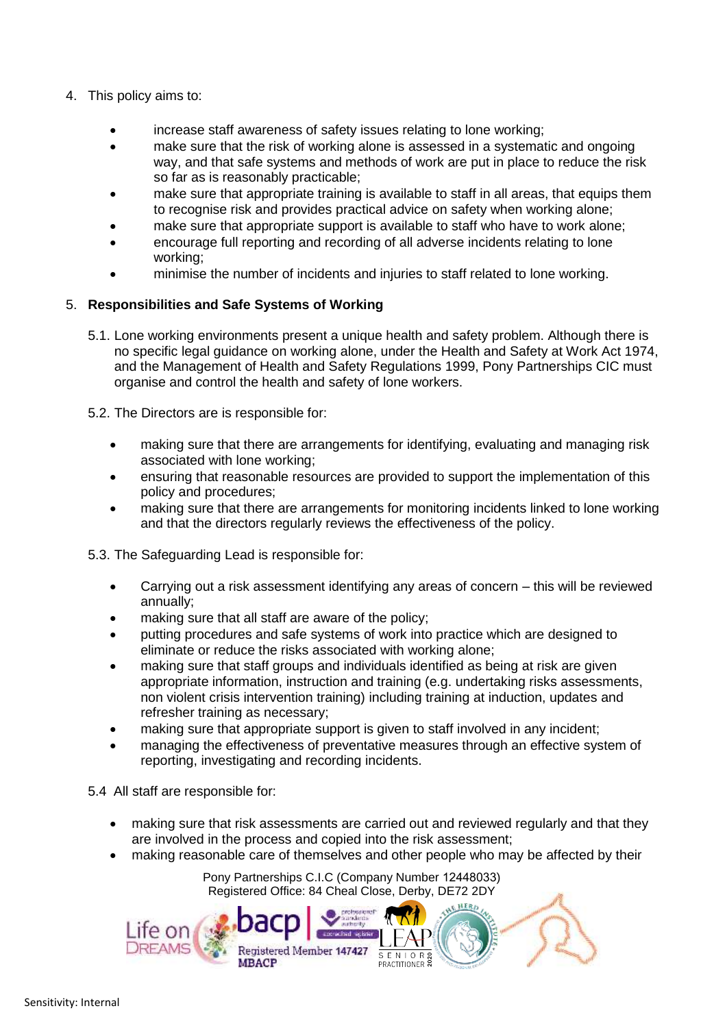- 4. This policy aims to:
	- increase staff awareness of safety issues relating to lone working;
	- make sure that the risk of working alone is assessed in a systematic and ongoing way, and that safe systems and methods of work are put in place to reduce the risk so far as is reasonably practicable;
	- make sure that appropriate training is available to staff in all areas, that equips them to recognise risk and provides practical advice on safety when working alone;
	- make sure that appropriate support is available to staff who have to work alone;
	- encourage full reporting and recording of all adverse incidents relating to lone working;
	- minimise the number of incidents and injuries to staff related to lone working.

## 5. **Responsibilities and Safe Systems of Working**

- 5.1. Lone working environments present a unique health and safety problem. Although there is no specific legal guidance on working alone, under the Health and Safety at Work Act 1974, and the Management of Health and Safety Regulations 1999, Pony Partnerships CIC must organise and control the health and safety of lone workers.
- 5.2. The Directors are is responsible for:
	- making sure that there are arrangements for identifying, evaluating and managing risk associated with lone working;
	- ensuring that reasonable resources are provided to support the implementation of this policy and procedures;
	- making sure that there are arrangements for monitoring incidents linked to lone working and that the directors regularly reviews the effectiveness of the policy.
- 5.3. The Safeguarding Lead is responsible for:
	- Carrying out a risk assessment identifying any areas of concern this will be reviewed annually;
	- making sure that all staff are aware of the policy;
	- putting procedures and safe systems of work into practice which are designed to eliminate or reduce the risks associated with working alone;
	- making sure that staff groups and individuals identified as being at risk are given appropriate information, instruction and training (e.g. undertaking risks assessments, non violent crisis intervention training) including training at induction, updates and refresher training as necessary;
	- making sure that appropriate support is given to staff involved in any incident;
	- managing the effectiveness of preventative measures through an effective system of reporting, investigating and recording incidents.

5.4 All staff are responsible for:

- making sure that risk assessments are carried out and reviewed regularly and that they are involved in the process and copied into the risk assessment;
- making reasonable care of themselves and other people who may be affected by their

Pony Partnerships C.I.C (Company Number 12448033) Registered Office: 84 Cheal Close, Derby, DE72 2DY

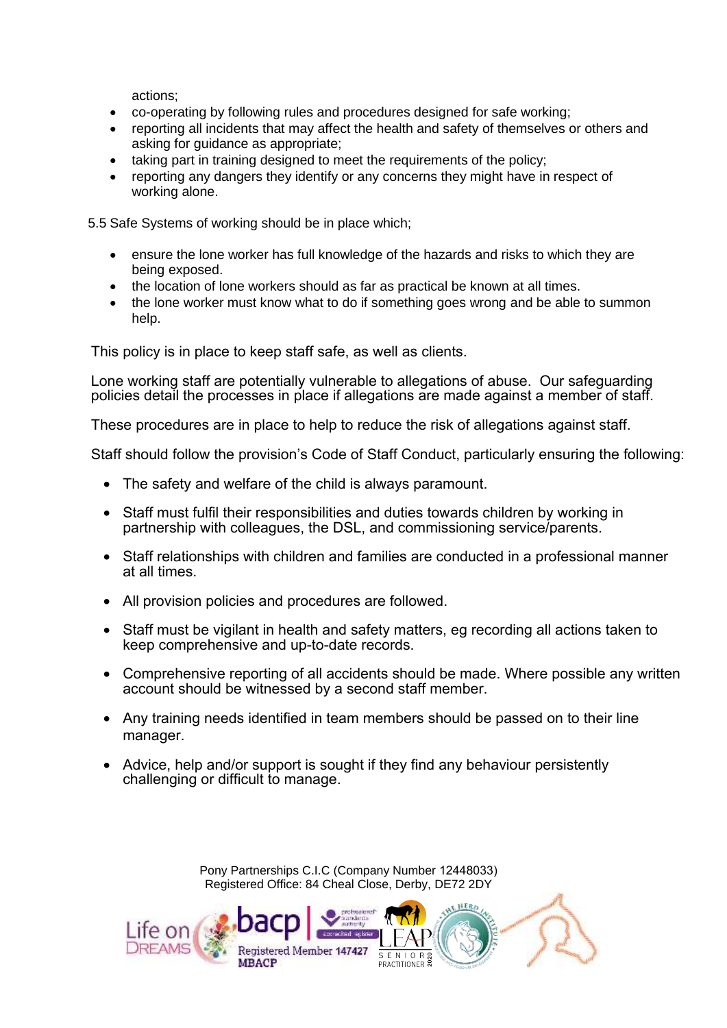actions;

- co-operating by following rules and procedures designed for safe working;
- reporting all incidents that may affect the health and safety of themselves or others and asking for guidance as appropriate;
- taking part in training designed to meet the requirements of the policy;
- reporting any dangers they identify or any concerns they might have in respect of working alone.

5.5 Safe Systems of working should be in place which;

- ensure the lone worker has full knowledge of the hazards and risks to which they are being exposed.
- the location of lone workers should as far as practical be known at all times.
- the lone worker must know what to do if something goes wrong and be able to summon help.

This policy is in place to keep staff safe, as well as clients.

Lone working staff are potentially vulnerable to allegations of abuse. Our safeguarding policies detail the processes in place if allegations are made against a member of staff.

These procedures are in place to help to reduce the risk of allegations against staff.

Staff should follow the provision's Code of Staff Conduct, particularly ensuring the following:

- The safety and welfare of the child is always paramount.
- Staff must fulfil their responsibilities and duties towards children by working in partnership with colleagues, the DSL, and commissioning service/parents.
- Staff relationships with children and families are conducted in a professional manner at all times.
- All provision policies and procedures are followed.
- Staff must be vigilant in health and safety matters, eg recording all actions taken to keep comprehensive and up-to-date records.
- Comprehensive reporting of all accidents should be made. Where possible any written account should be witnessed by a second staff member.
- Any training needs identified in team members should be passed on to their line manager.
- Advice, help and/or support is sought if they find any behaviour persistently challenging or difficult to manage.

Pony Partnerships C.I.C (Company Number 12448033) Registered Office: 84 Cheal Close, Derby, DE72 2DY